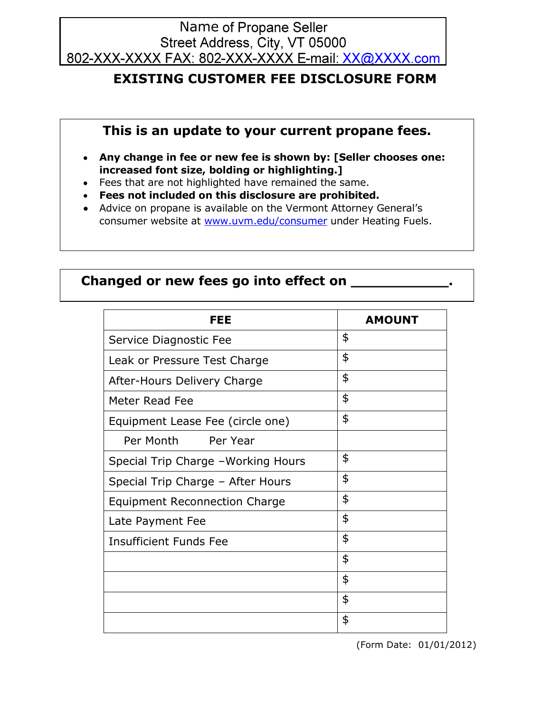# Name of Propane Seller<br>Street Address, City, VT 05000 802-XXX-XXXX FAX: 802-XXX-XXXX E-mail: XX@XXXX.com

## **EXISTING CUSTOMER FEE DISCLOSURE FORM**

### **This is an update to your current propane fees.**

- **Any change in fee or new fee is shown by: [Seller chooses one: increased font size, bolding or highlighting.]**
- Fees that are not highlighted have remained the same.
- **Fees not included on this disclosure are prohibited.**
- Advice on propane is available on the Vermont Attorney General's consumer website at [www.uvm.edu/consumer](http://www.uvm.edu/consumer) under Heating Fuels.

#### **Changed or new fees go into effect on \_\_\_\_\_\_\_\_\_\_\_.**

| FEE                                 | <b>AMOUNT</b> |
|-------------------------------------|---------------|
| Service Diagnostic Fee              | \$            |
| Leak or Pressure Test Charge        | \$            |
| After-Hours Delivery Charge         | \$            |
| Meter Read Fee                      | \$            |
| Equipment Lease Fee (circle one)    | \$            |
| Per Month<br>Per Year               |               |
| Special Trip Charge - Working Hours | \$            |
| Special Trip Charge - After Hours   | \$            |
| Equipment Reconnection Charge       | \$            |
| Late Payment Fee                    | \$            |
| <b>Insufficient Funds Fee</b>       | \$            |
|                                     | \$            |
|                                     | \$            |
|                                     | \$            |
|                                     | \$            |

(Form Date: 01/01/2012)